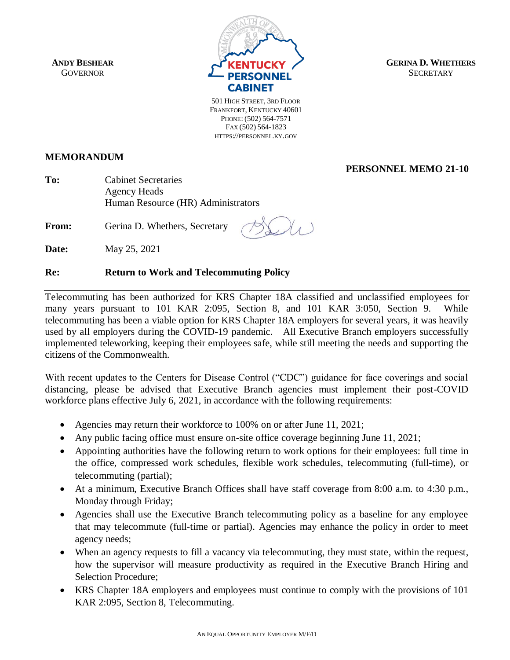**ANDY BESHEAR GOVERNOR** 



**GERINA D. WHETHERS SECRETARY** 

501 HIGH STREET, 3RD FLOOR FRANKFORT, KENTUCKY 40601 PHONE: (502) 564-7571 FAX (502) 564-1823 HTTPS://PERSONNEL.KY.GOV

**MEMORANDUM**

**PERSONNEL MEMO 21-10**

**To:** Cabinet Secretaries Agency Heads Human Resource (HR) Administrators

**From:** Gerina D. Whethers, Secretary

**Date:** May 25, 2021

## **Re: Return to Work and Telecommuting Policy**

Telecommuting has been authorized for KRS Chapter 18A classified and unclassified employees for many years pursuant to 101 KAR 2:095, Section 8, and 101 KAR 3:050, Section 9. While telecommuting has been a viable option for KRS Chapter 18A employers for several years, it was heavily used by all employers during the COVID-19 pandemic. All Executive Branch employers successfully implemented teleworking, keeping their employees safe, while still meeting the needs and supporting the citizens of the Commonwealth.

With recent updates to the Centers for Disease Control ("CDC") guidance for face coverings and social distancing, please be advised that Executive Branch agencies must implement their post-COVID workforce plans effective July 6, 2021, in accordance with the following requirements:

- Agencies may return their workforce to 100% on or after June 11, 2021;
- Any public facing office must ensure on-site office coverage beginning June 11, 2021;
- Appointing authorities have the following return to work options for their employees: full time in the office, compressed work schedules, flexible work schedules, telecommuting (full-time), or telecommuting (partial);
- At a minimum, Executive Branch Offices shall have staff coverage from 8:00 a.m. to 4:30 p.m., Monday through Friday;
- Agencies shall use the Executive Branch telecommuting policy as a baseline for any employee that may telecommute (full-time or partial). Agencies may enhance the policy in order to meet agency needs;
- When an agency requests to fill a vacancy via telecommuting, they must state, within the request, how the supervisor will measure productivity as required in the Executive Branch Hiring and Selection Procedure;
- KRS Chapter 18A employers and employees must continue to comply with the provisions of 101 KAR 2:095, Section 8, Telecommuting.